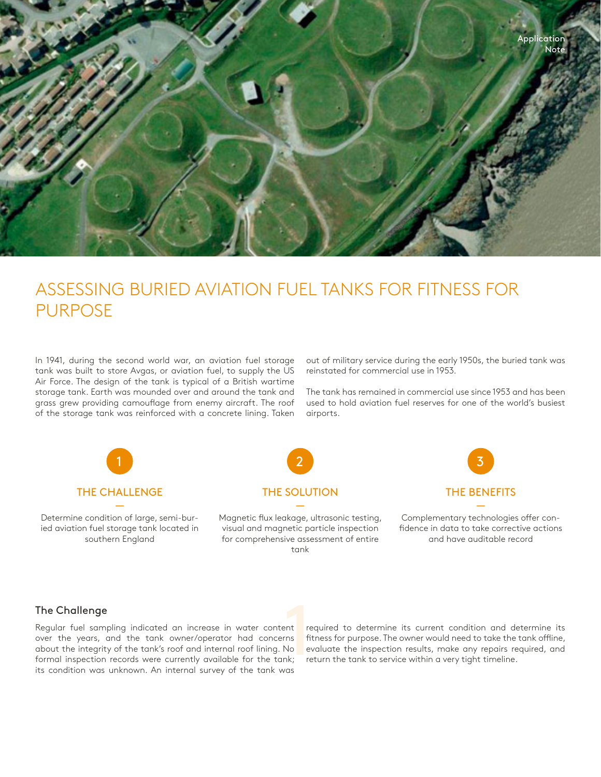

## ASSESSING BURIED AVIATION FUEL TANKS FOR FITNESS FOR PURPOSE

In 1941, during the second world war, an aviation fuel storage tank was built to store Avgas, or aviation fuel, to supply the US Air Force. The design of the tank is typical of a British wartime storage tank. Earth was mounded over and around the tank and grass grew providing camouflage from enemy aircraft. The roof of the storage tank was reinforced with a concrete lining. Taken out of military service during the early 1950s, the buried tank was reinstated for commercial use in 1953.

The tank has remained in commercial use since 1953 and has been used to hold aviation fuel reserves for one of the world's busiest airports.



## The Challenge

Regular fuel sampling indicated an increase in water content over the years, and the tank owner/operator had concerns about the integrity of the tank's roof and internal roof lining. No formal inspection records were currently available for the tank; its condition was unknown. An internal survey of the tank was

required to determine its current condition and determine its fitness for purpose. The owner would need to take the tank offline, evaluate the inspection results, make any repairs required, and 1 return the tank to service within a very tight timeline.